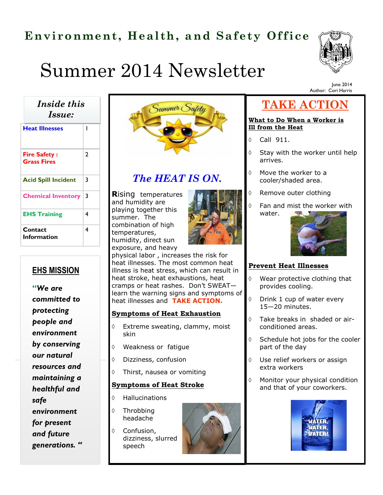## **Environment, Health, and Safety Office**



Author: Cori Harris

June 2014

# Summer 2014 Newsletter

**Heat Illnesses** 1 *Inside this Issue:* 

| <b>Fire Safety:</b><br><b>Grass Fires</b> | 2 |
|-------------------------------------------|---|
| <b>Acid Spill Incident</b>                | 3 |
| <b>Chemical Inventory</b>                 | 3 |
| <b>EHS Training</b>                       | 4 |
| Contact<br>Information                    | 4 |

### **EHS MISSION**

**"***We are committed to protecting people and environment by conserving our natural resources and maintaining a healthful and safe environment for present and future generations. "*



### *The HEAT IS ON.*

**R**ising temperatures and humidity are playing together this summer. The combination of high temperatures, humidity, direct sun exposure, and heavy



physical labor , increases the risk for heat illnesses. The most common heat illness is heat stress, which can result in heat stroke, heat exhaustions, heat cramps or heat rashes. Don't SWEAT learn the warning signs and symptoms of heat illnesses and **TAKE ACTION.** 

#### **Symptoms of Heat Exhaustion**

- Extreme sweating, clammy, moist skin
- Weakness or fatigue
- Dizziness, confusion
- Thirst, nausea or vomiting

#### **Symptoms of Heat Stroke**

- Hallucinations
- $\Diamond$  Throbbing headache

♦ Confusion,

speech

dizziness, slurred

### **TAKE ACTION**

#### **What to Do When a Worker is Ill from the Heat**

- $\lozenge$  Call 911.
- $\Diamond$  Stay with the worker until help arrives.
- $\Diamond$  Move the worker to a cooler/shaded area.
- ♦ Remove outer clothing
- $\Diamond$  Fan and mist the worker with water.



#### **Prevent Heat Illnesses**

- Wear protective clothing that provides cooling.
- Drink 1 cup of water every 15—20 minutes.
- Take breaks in shaded or airconditioned areas.
- $\Diamond$  Schedule hot jobs for the cooler part of the day
- Use relief workers or assign extra workers
- $\Diamond$  Monitor your physical condition and that of your coworkers.

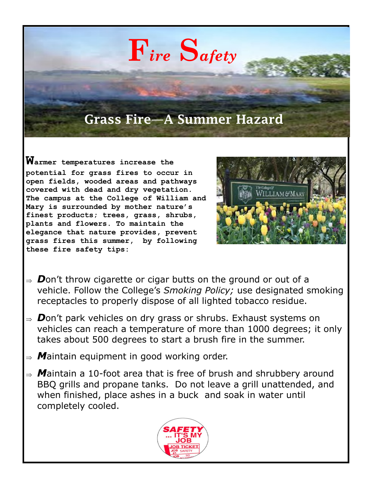# **F***ire* **S***afety*

### **Grass Fire—A Summer Hazard**

**Warmer temperatures increase the potential for grass fires to occur in open fields, wooded areas and pathways covered with dead and dry vegetation. The campus at the College of William and Mary is surrounded by mother nature's finest products; trees, grass, shrubs, plants and flowers. To maintain the elegance that nature provides, prevent grass fires this summer, by following these fire safety tips:** 



- $\Rightarrow$  **D**on't throw cigarette or cigar butts on the ground or out of a vehicle. Follow the College's *Smoking Policy;* use designated smoking receptacles to properly dispose of all lighted tobacco residue.
- $\Rightarrow$  **D**on't park vehicles on dry grass or shrubs. Exhaust systems on vehicles can reach a temperature of more than 1000 degrees; it only takes about 500 degrees to start a brush fire in the summer.
- $\Rightarrow$  **M**aintain equipment in good working order.
- *M*aintain a 10-foot area that is free of brush and shrubbery around BBQ grills and propane tanks. Do not leave a grill unattended, and when finished, place ashes in a buck and soak in water until completely cooled.

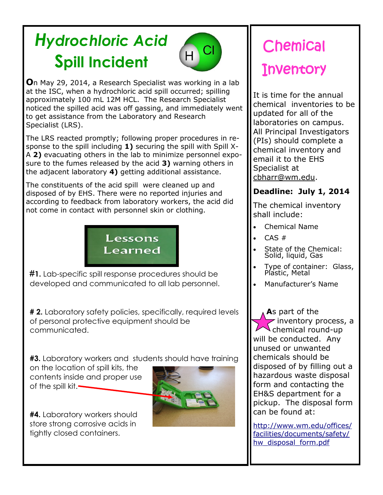# *Hydrochloric Acid*  **Spill Incident**



**O**n May 29, 2014, a Research Specialist was working in a lab at the ISC, when a hydrochloric acid spill occurred; spilling approximately 100 mL 12M HCL. The Research Specialist noticed the spilled acid was off gassing, and immediately went to get assistance from the Laboratory and Research Specialist (LRS).

The LRS reacted promptly; following proper procedures in response to the spill including **1)** securing the spill with Spill X-A **2)** evacuating others in the lab to minimize personnel exposure to the fumes released by the acid **3)** warning others in the adjacent laboratory **4)** getting additional assistance.

The constituents of the acid spill were cleaned up and disposed of by EHS. There were no reported injuries and according to feedback from laboratory workers, the acid did not come in contact with personnel skin or clothing.



**#1.** Lab-specific spill response procedures should be developed and communicated to all lab personnel.

**# 2.** Laboratory safety policies, specifically, required levels of personal protective equipment should be communicated.

**#3.** Laboratory workers and students should have training

on the location of spill kits, the contents inside and proper use of the spill kit.



**#4.** Laboratory workers should store strong corrosive acids in tightly closed containers.

# Chemical **Inventory**

It is time for the annual chemical inventories to be updated for all of the laboratories on campus. All Principal Investigators (PIs) should complete a chemical inventory and email it to the EHS Specialist at [cbharr@wm.edu.](mailto:cbharr@wm.edu)

### **Deadline: July 1, 2014**

The chemical inventory shall include:

- Chemical Name
- CAS #
- State of the Chemical: Solid, liquid, Gas
- Type of container: Glass, Plastic, Metal
- Manufacturer's Name

**A**s part of the inventory process, a chemical round-up will be conducted. Any unused or unwanted chemicals should be disposed of by filling out a hazardous waste disposal form and contacting the EH&S department for a pickup. The disposal form can be found at:

[http://www.wm.edu/offices/](http://www.wm.edu/offices/facilities/documents/safety/hw_disposal_form.pdf) [facilities/documents/safety/](http://www.wm.edu/offices/facilities/documents/safety/hw_disposal_form.pdf) [hw\\_disposal\\_form.pdf](http://www.wm.edu/offices/facilities/documents/safety/hw_disposal_form.pdf)